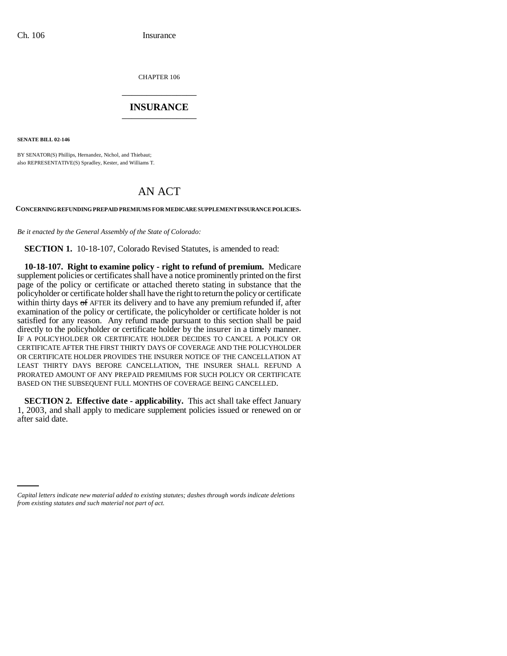CHAPTER 106 \_\_\_\_\_\_\_\_\_\_\_\_\_\_\_

## **INSURANCE** \_\_\_\_\_\_\_\_\_\_\_\_\_\_\_

**SENATE BILL 02-146**

BY SENATOR(S) Phillips, Hernandez, Nichol, and Thiebaut; also REPRESENTATIVE(S) Spradley, Kester, and Williams T.

## AN ACT

**CONCERNING REFUNDING PREPAID PREMIUMS FOR MEDICARE SUPPLEMENT INSURANCE POLICIES.**

*Be it enacted by the General Assembly of the State of Colorado:*

**SECTION 1.** 10-18-107, Colorado Revised Statutes, is amended to read:

**10-18-107. Right to examine policy - right to refund of premium.** Medicare supplement policies or certificates shall have a notice prominently printed on the first page of the policy or certificate or attached thereto stating in substance that the policyholder or certificate holder shall have the right to return the policy or certificate within thirty days of AFTER its delivery and to have any premium refunded if, after examination of the policy or certificate, the policyholder or certificate holder is not satisfied for any reason. Any refund made pursuant to this section shall be paid directly to the policyholder or certificate holder by the insurer in a timely manner. IF A POLICYHOLDER OR CERTIFICATE HOLDER DECIDES TO CANCEL A POLICY OR CERTIFICATE AFTER THE FIRST THIRTY DAYS OF COVERAGE AND THE POLICYHOLDER OR CERTIFICATE HOLDER PROVIDES THE INSURER NOTICE OF THE CANCELLATION AT LEAST THIRTY DAYS BEFORE CANCELLATION, THE INSURER SHALL REFUND A PRORATED AMOUNT OF ANY PREPAID PREMIUMS FOR SUCH POLICY OR CERTIFICATE BASED ON THE SUBSEQUENT FULL MONTHS OF COVERAGE BEING CANCELLED.

**SECTION 2. Effective date - applicability.** This act shall take effect January 1, 2003, and shall apply to medicare supplement policies issued or renewed on or after said date.

*Capital letters indicate new material added to existing statutes; dashes through words indicate deletions from existing statutes and such material not part of act.*